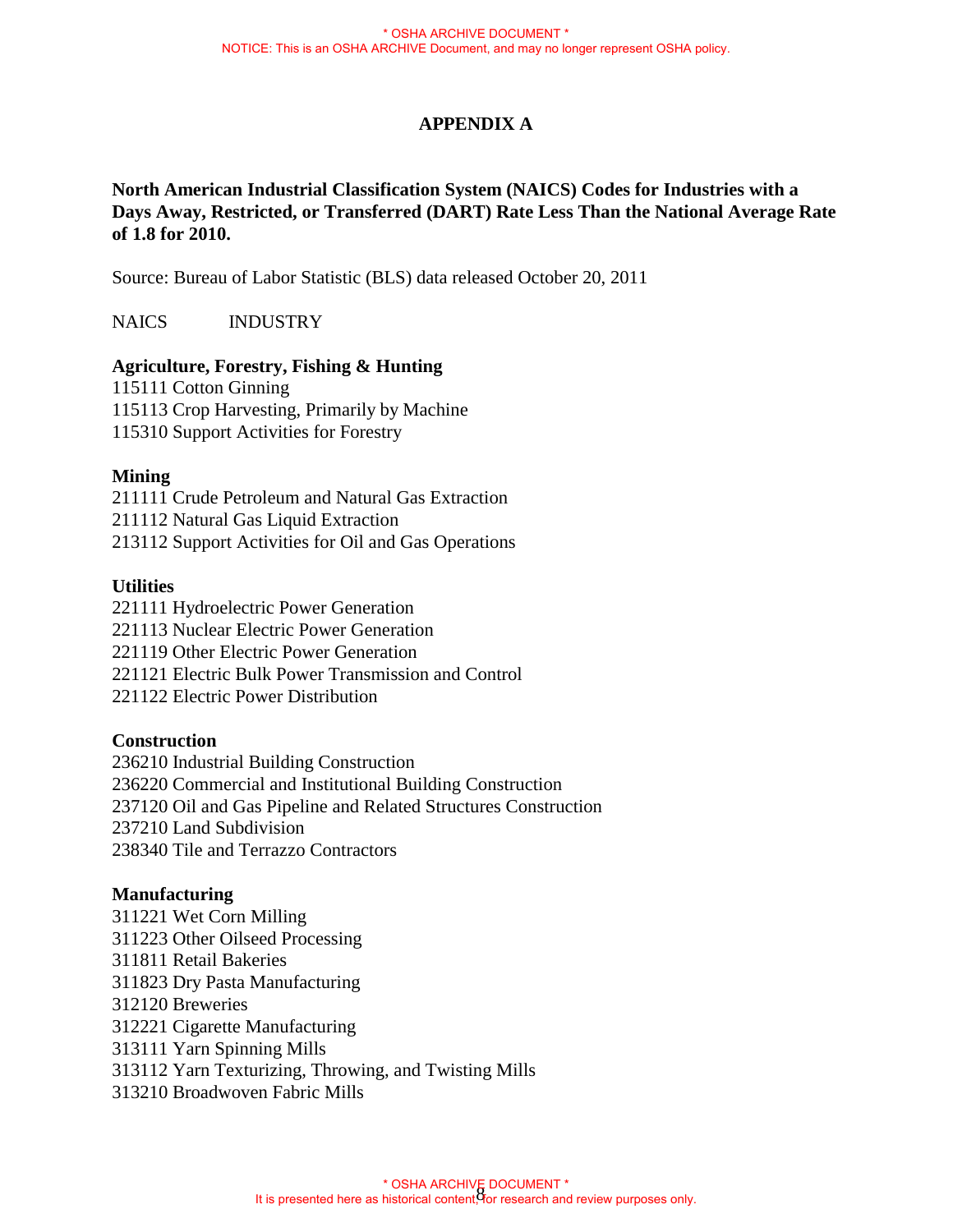# **APPENDIX A**

**North American Industrial Classification System (NAICS) Codes for Industries with a Days Away, Restricted, or Transferred (DART) Rate Less Than the National Average Rate of 1.8 for 2010.**

Source: Bureau of Labor Statistic (BLS) data released October 20, 2011

NAICS INDUSTRY

# **Agriculture, Forestry, Fishing & Hunting**

115111 Cotton Ginning 115113 Crop Harvesting, Primarily by Machine 115310 Support Activities for Forestry

### **Mining**

211111 Crude Petroleum and Natural Gas Extraction 211112 Natural Gas Liquid Extraction 213112 Support Activities for Oil and Gas Operations

# **Utilities**

221111 Hydroelectric Power Generation 221113 Nuclear Electric Power Generation 221119 Other Electric Power Generation 221121 Electric Bulk Power Transmission and Control 221122 Electric Power Distribution

### **Construction**

236210 Industrial Building Construction 236220 Commercial and Institutional Building Construction 237120 Oil and Gas Pipeline and Related Structures Construction 237210 Land Subdivision 238340 Tile and Terrazzo Contractors

### **Manufacturing**

311221 Wet Corn Milling 311223 Other Oilseed Processing 311811 Retail Bakeries 311823 Dry Pasta Manufacturing 312120 Breweries 312221 Cigarette Manufacturing 313111 Yarn Spinning Mills 313112 Yarn Texturizing, Throwing, and Twisting Mills 313210 Broadwoven Fabric Mills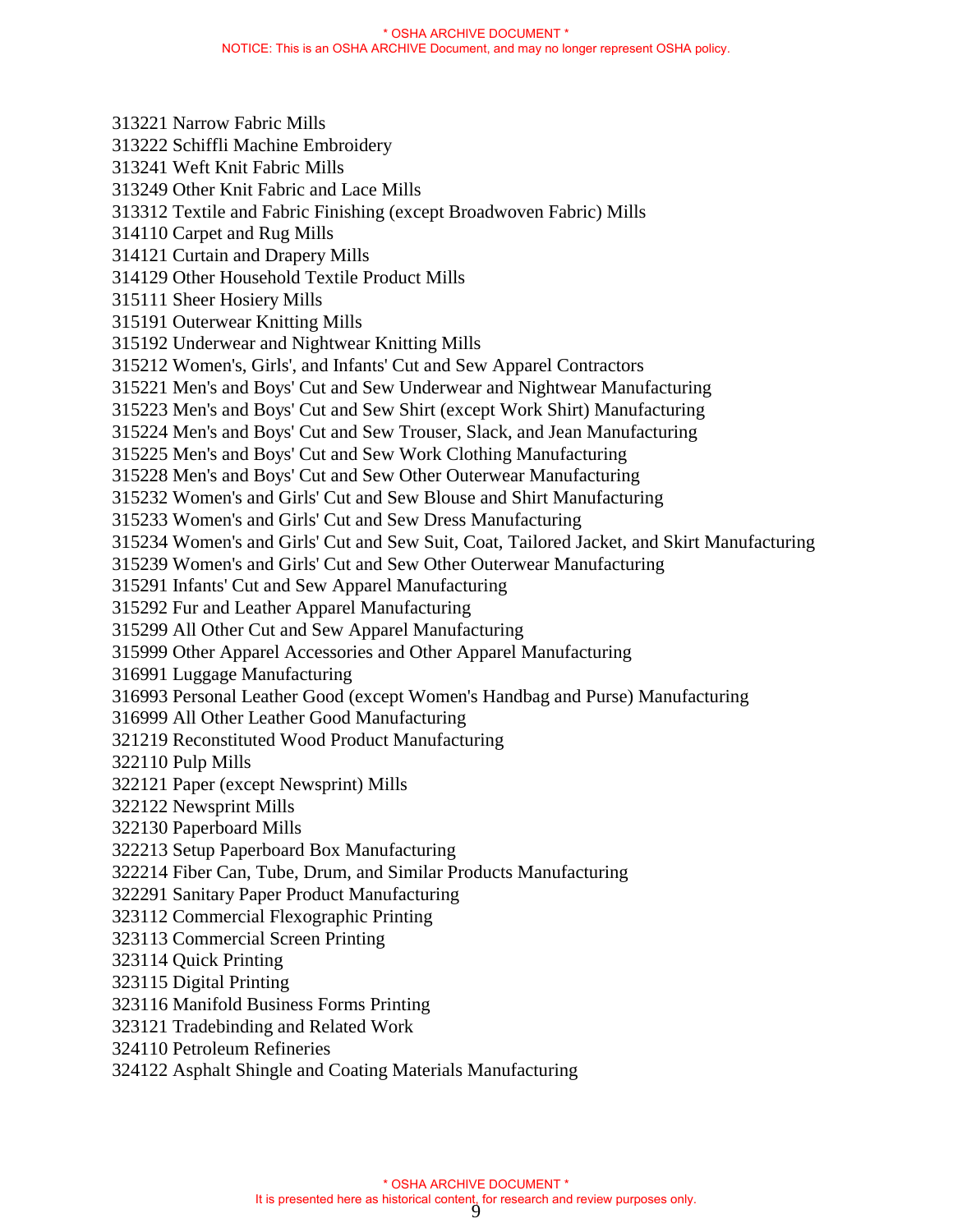313221 Narrow Fabric Mills 313222 Schiffli Machine Embroidery 313241 Weft Knit Fabric Mills 313249 Other Knit Fabric and Lace Mills 313312 Textile and Fabric Finishing (except Broadwoven Fabric) Mills 314110 Carpet and Rug Mills 314121 Curtain and Drapery Mills 314129 Other Household Textile Product Mills 315111 Sheer Hosiery Mills 315191 Outerwear Knitting Mills 315192 Underwear and Nightwear Knitting Mills 315212 Women's, Girls', and Infants' Cut and Sew Apparel Contractors 315221 Men's and Boys' Cut and Sew Underwear and Nightwear Manufacturing 315223 Men's and Boys' Cut and Sew Shirt (except Work Shirt) Manufacturing 315224 Men's and Boys' Cut and Sew Trouser, Slack, and Jean Manufacturing 315225 Men's and Boys' Cut and Sew Work Clothing Manufacturing 315228 Men's and Boys' Cut and Sew Other Outerwear Manufacturing 315232 Women's and Girls' Cut and Sew Blouse and Shirt Manufacturing 315233 Women's and Girls' Cut and Sew Dress Manufacturing 315234 Women's and Girls' Cut and Sew Suit, Coat, Tailored Jacket, and Skirt Manufacturing 315239 Women's and Girls' Cut and Sew Other Outerwear Manufacturing 315291 Infants' Cut and Sew Apparel Manufacturing 315292 Fur and Leather Apparel Manufacturing 315299 All Other Cut and Sew Apparel Manufacturing 315999 Other Apparel Accessories and Other Apparel Manufacturing 316991 Luggage Manufacturing 316993 Personal Leather Good (except Women's Handbag and Purse) Manufacturing 316999 All Other Leather Good Manufacturing 321219 Reconstituted Wood Product Manufacturing 322110 Pulp Mills 322121 Paper (except Newsprint) Mills 322122 Newsprint Mills 322130 Paperboard Mills 322213 Setup Paperboard Box Manufacturing 322214 Fiber Can, Tube, Drum, and Similar Products Manufacturing 322291 Sanitary Paper Product Manufacturing 323112 Commercial Flexographic Printing 323113 Commercial Screen Printing 323114 Quick Printing 323115 Digital Printing 323116 Manifold Business Forms Printing 323121 Tradebinding and Related Work 324110 Petroleum Refineries 324122 Asphalt Shingle and Coating Materials Manufacturing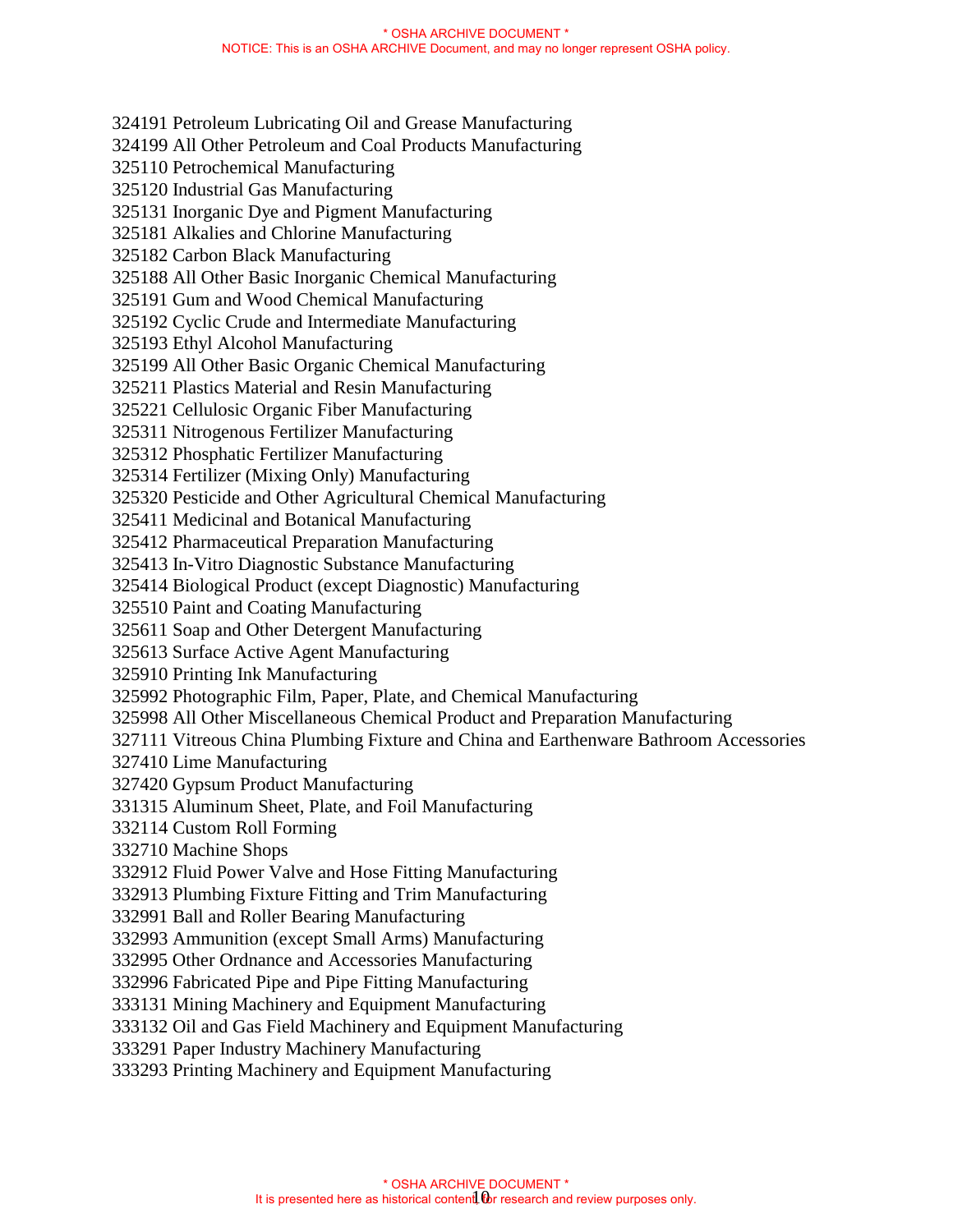324191 Petroleum Lubricating Oil and Grease Manufacturing 324199 All Other Petroleum and Coal Products Manufacturing 325110 Petrochemical Manufacturing 325120 Industrial Gas Manufacturing 325131 Inorganic Dye and Pigment Manufacturing 325181 Alkalies and Chlorine Manufacturing 325182 Carbon Black Manufacturing 325188 All Other Basic Inorganic Chemical Manufacturing 325191 Gum and Wood Chemical Manufacturing 325192 Cyclic Crude and Intermediate Manufacturing 325193 Ethyl Alcohol Manufacturing 325199 All Other Basic Organic Chemical Manufacturing 325211 Plastics Material and Resin Manufacturing 325221 Cellulosic Organic Fiber Manufacturing 325311 Nitrogenous Fertilizer Manufacturing 325312 Phosphatic Fertilizer Manufacturing 325314 Fertilizer (Mixing Only) Manufacturing 325320 Pesticide and Other Agricultural Chemical Manufacturing 325411 Medicinal and Botanical Manufacturing 325412 Pharmaceutical Preparation Manufacturing 325413 In-Vitro Diagnostic Substance Manufacturing 325414 Biological Product (except Diagnostic) Manufacturing 325510 Paint and Coating Manufacturing 325611 Soap and Other Detergent Manufacturing 325613 Surface Active Agent Manufacturing 325910 Printing Ink Manufacturing 325992 Photographic Film, Paper, Plate, and Chemical Manufacturing 325998 All Other Miscellaneous Chemical Product and Preparation Manufacturing 327111 Vitreous China Plumbing Fixture and China and Earthenware Bathroom Accessories 327410 Lime Manufacturing 327420 Gypsum Product Manufacturing 331315 Aluminum Sheet, Plate, and Foil Manufacturing 332114 Custom Roll Forming 332710 Machine Shops 332912 Fluid Power Valve and Hose Fitting Manufacturing 332913 Plumbing Fixture Fitting and Trim Manufacturing 332991 Ball and Roller Bearing Manufacturing 332993 Ammunition (except Small Arms) Manufacturing 332995 Other Ordnance and Accessories Manufacturing 332996 Fabricated Pipe and Pipe Fitting Manufacturing 333131 Mining Machinery and Equipment Manufacturing 333132 Oil and Gas Field Machinery and Equipment Manufacturing 333291 Paper Industry Machinery Manufacturing

333293 Printing Machinery and Equipment Manufacturing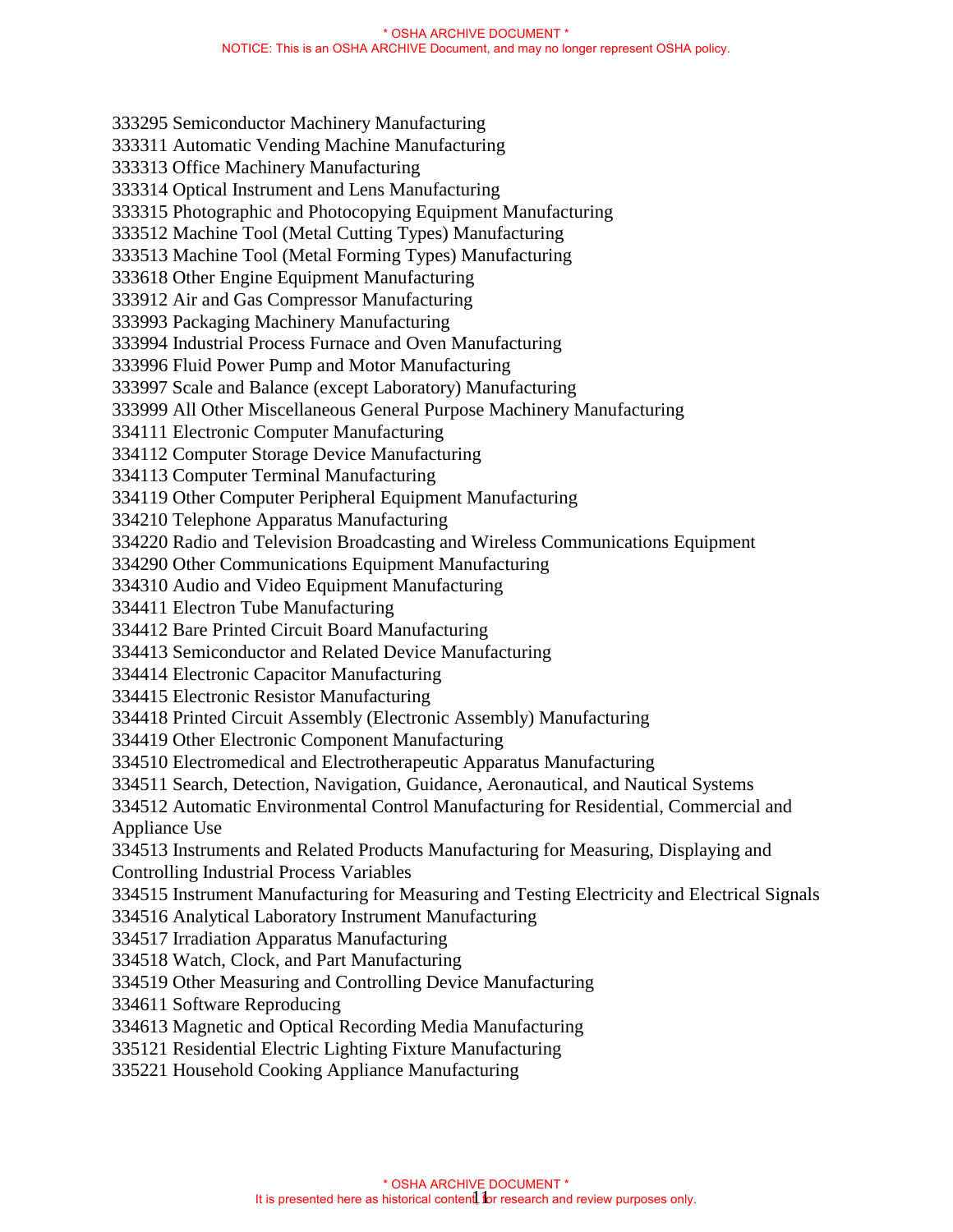333295 Semiconductor Machinery Manufacturing 333311 Automatic Vending Machine Manufacturing 333313 Office Machinery Manufacturing 333314 Optical Instrument and Lens Manufacturing 333315 Photographic and Photocopying Equipment Manufacturing 333512 Machine Tool (Metal Cutting Types) Manufacturing 333513 Machine Tool (Metal Forming Types) Manufacturing 333618 Other Engine Equipment Manufacturing 333912 Air and Gas Compressor Manufacturing 333993 Packaging Machinery Manufacturing 333994 Industrial Process Furnace and Oven Manufacturing 333996 Fluid Power Pump and Motor Manufacturing 333997 Scale and Balance (except Laboratory) Manufacturing 333999 All Other Miscellaneous General Purpose Machinery Manufacturing 334111 Electronic Computer Manufacturing 334112 Computer Storage Device Manufacturing 334113 Computer Terminal Manufacturing 334119 Other Computer Peripheral Equipment Manufacturing 334210 Telephone Apparatus Manufacturing 334220 Radio and Television Broadcasting and Wireless Communications Equipment 334290 Other Communications Equipment Manufacturing 334310 Audio and Video Equipment Manufacturing 334411 Electron Tube Manufacturing 334412 Bare Printed Circuit Board Manufacturing 334413 Semiconductor and Related Device Manufacturing 334414 Electronic Capacitor Manufacturing 334415 Electronic Resistor Manufacturing 334418 Printed Circuit Assembly (Electronic Assembly) Manufacturing 334419 Other Electronic Component Manufacturing 334510 Electromedical and Electrotherapeutic Apparatus Manufacturing 334511 Search, Detection, Navigation, Guidance, Aeronautical, and Nautical Systems 334512 Automatic Environmental Control Manufacturing for Residential, Commercial and Appliance Use 334513 Instruments and Related Products Manufacturing for Measuring, Displaying and Controlling Industrial Process Variables 334515 Instrument Manufacturing for Measuring and Testing Electricity and Electrical Signals 334516 Analytical Laboratory Instrument Manufacturing 334517 Irradiation Apparatus Manufacturing 334518 Watch, Clock, and Part Manufacturing 334519 Other Measuring and Controlling Device Manufacturing 334611 Software Reproducing 334613 Magnetic and Optical Recording Media Manufacturing 335121 Residential Electric Lighting Fixture Manufacturing 335221 Household Cooking Appliance Manufacturing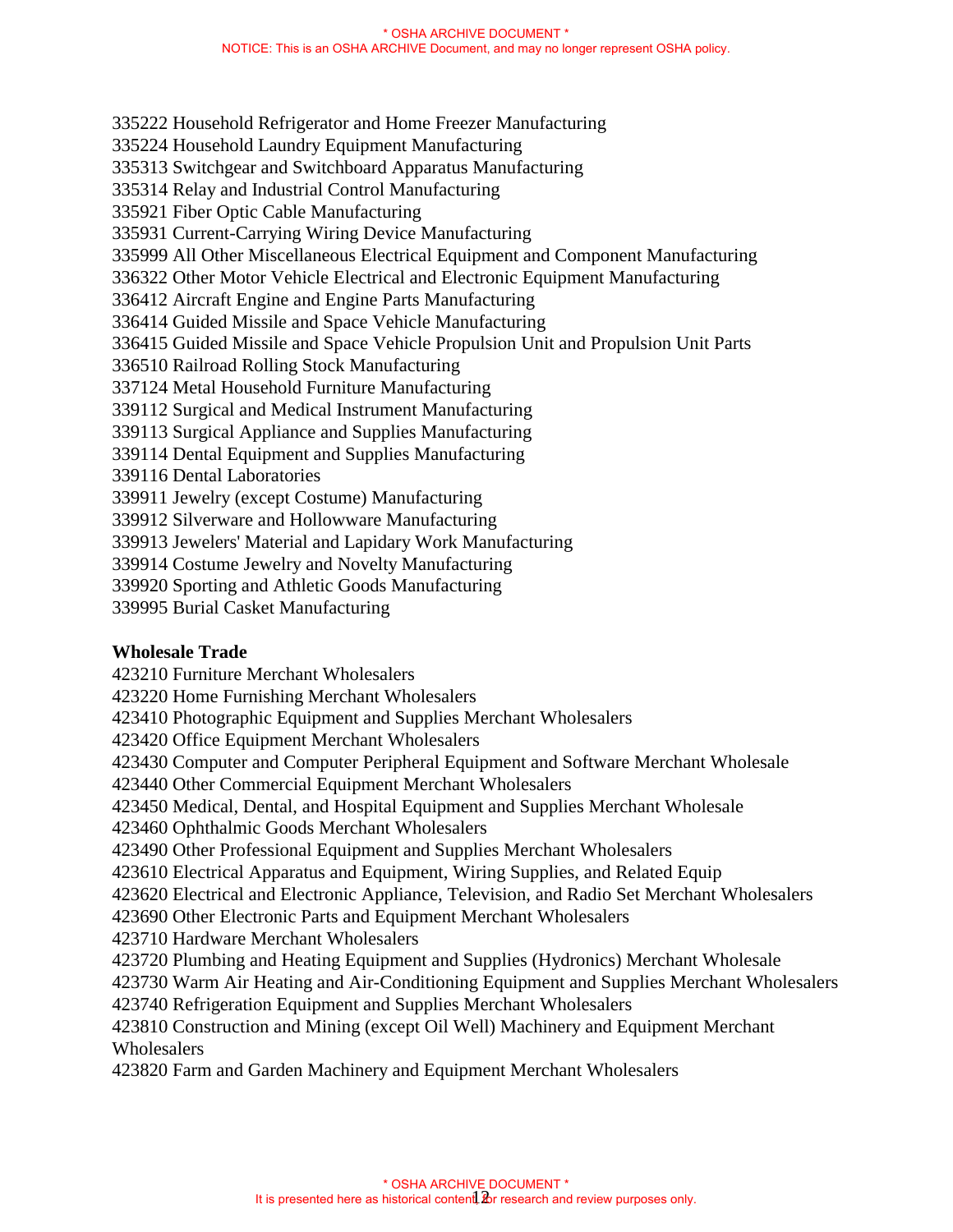335222 Household Refrigerator and Home Freezer Manufacturing 335224 Household Laundry Equipment Manufacturing 335313 Switchgear and Switchboard Apparatus Manufacturing 335314 Relay and Industrial Control Manufacturing 335921 Fiber Optic Cable Manufacturing 335931 Current-Carrying Wiring Device Manufacturing 335999 All Other Miscellaneous Electrical Equipment and Component Manufacturing 336322 Other Motor Vehicle Electrical and Electronic Equipment Manufacturing 336412 Aircraft Engine and Engine Parts Manufacturing 336414 Guided Missile and Space Vehicle Manufacturing 336415 Guided Missile and Space Vehicle Propulsion Unit and Propulsion Unit Parts 336510 Railroad Rolling Stock Manufacturing 337124 Metal Household Furniture Manufacturing 339112 Surgical and Medical Instrument Manufacturing 339113 Surgical Appliance and Supplies Manufacturing 339114 Dental Equipment and Supplies Manufacturing 339116 Dental Laboratories 339911 Jewelry (except Costume) Manufacturing 339912 Silverware and Hollowware Manufacturing 339913 Jewelers' Material and Lapidary Work Manufacturing 339914 Costume Jewelry and Novelty Manufacturing 339920 Sporting and Athletic Goods Manufacturing

339995 Burial Casket Manufacturing

### **Wholesale Trade**

423210 Furniture Merchant Wholesalers

423220 Home Furnishing Merchant Wholesalers

423410 Photographic Equipment and Supplies Merchant Wholesalers

423420 Office Equipment Merchant Wholesalers

423430 Computer and Computer Peripheral Equipment and Software Merchant Wholesale

423440 Other Commercial Equipment Merchant Wholesalers

423450 Medical, Dental, and Hospital Equipment and Supplies Merchant Wholesale

423460 Ophthalmic Goods Merchant Wholesalers

423490 Other Professional Equipment and Supplies Merchant Wholesalers

423610 Electrical Apparatus and Equipment, Wiring Supplies, and Related Equip

423620 Electrical and Electronic Appliance, Television, and Radio Set Merchant Wholesalers

423690 Other Electronic Parts and Equipment Merchant Wholesalers

423710 Hardware Merchant Wholesalers

423720 Plumbing and Heating Equipment and Supplies (Hydronics) Merchant Wholesale

423730 Warm Air Heating and Air-Conditioning Equipment and Supplies Merchant Wholesalers

423740 Refrigeration Equipment and Supplies Merchant Wholesalers

423810 Construction and Mining (except Oil Well) Machinery and Equipment Merchant **Wholesalers** 

423820 Farm and Garden Machinery and Equipment Merchant Wholesalers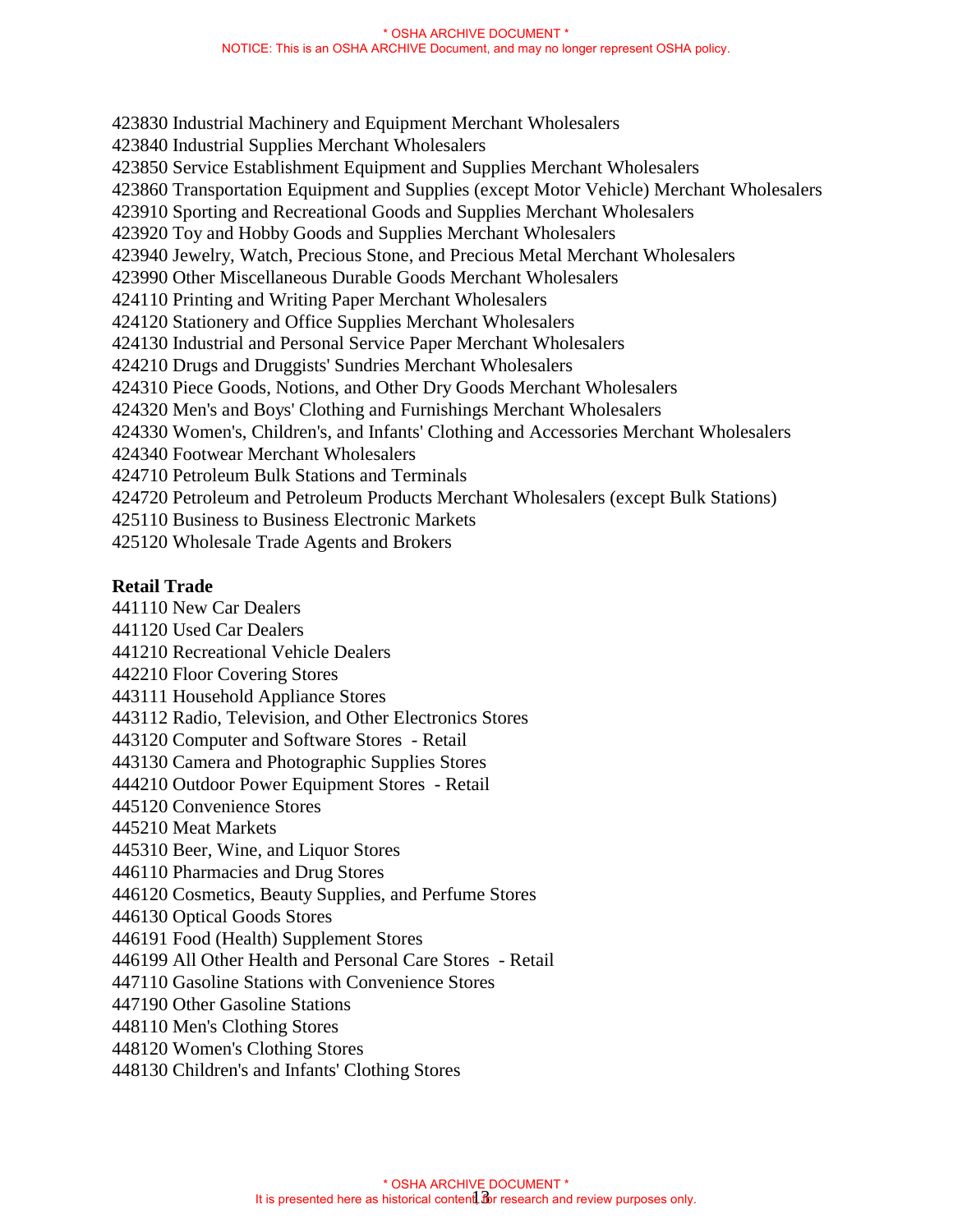#### \* OSHA ARCHIVE DOCUMENT \* NOTICE: This is an OSHA ARCHIVE Document, and may no longer represent OSHA policy.

423830 Industrial Machinery and Equipment Merchant Wholesalers 423840 Industrial Supplies Merchant Wholesalers 423850 Service Establishment Equipment and Supplies Merchant Wholesalers 423860 Transportation Equipment and Supplies (except Motor Vehicle) Merchant Wholesalers 423910 Sporting and Recreational Goods and Supplies Merchant Wholesalers 423920 Toy and Hobby Goods and Supplies Merchant Wholesalers 423940 Jewelry, Watch, Precious Stone, and Precious Metal Merchant Wholesalers 423990 Other Miscellaneous Durable Goods Merchant Wholesalers 424110 Printing and Writing Paper Merchant Wholesalers 424120 Stationery and Office Supplies Merchant Wholesalers 424130 Industrial and Personal Service Paper Merchant Wholesalers 424210 Drugs and Druggists' Sundries Merchant Wholesalers 424310 Piece Goods, Notions, and Other Dry Goods Merchant Wholesalers 424320 Men's and Boys' Clothing and Furnishings Merchant Wholesalers 424330 Women's, Children's, and Infants' Clothing and Accessories Merchant Wholesalers 424340 Footwear Merchant Wholesalers 424710 Petroleum Bulk Stations and Terminals 424720 Petroleum and Petroleum Products Merchant Wholesalers (except Bulk Stations) 425110 Business to Business Electronic Markets 425120 Wholesale Trade Agents and Brokers

### **Retail Trade**

441110 New Car Dealers 441120 Used Car Dealers 441210 Recreational Vehicle Dealers 442210 Floor Covering Stores 443111 Household Appliance Stores 443112 Radio, Television, and Other Electronics Stores 443120 Computer and Software Stores - Retail 443130 Camera and Photographic Supplies Stores 444210 Outdoor Power Equipment Stores - Retail 445120 Convenience Stores 445210 Meat Markets 445310 Beer, Wine, and Liquor Stores 446110 Pharmacies and Drug Stores 446120 Cosmetics, Beauty Supplies, and Perfume Stores 446130 Optical Goods Stores 446191 Food (Health) Supplement Stores 446199 All Other Health and Personal Care Stores - Retail 447110 Gasoline Stations with Convenience Stores 447190 Other Gasoline Stations 448110 Men's Clothing Stores 448120 Women's Clothing Stores 448130 Children's and Infants' Clothing Stores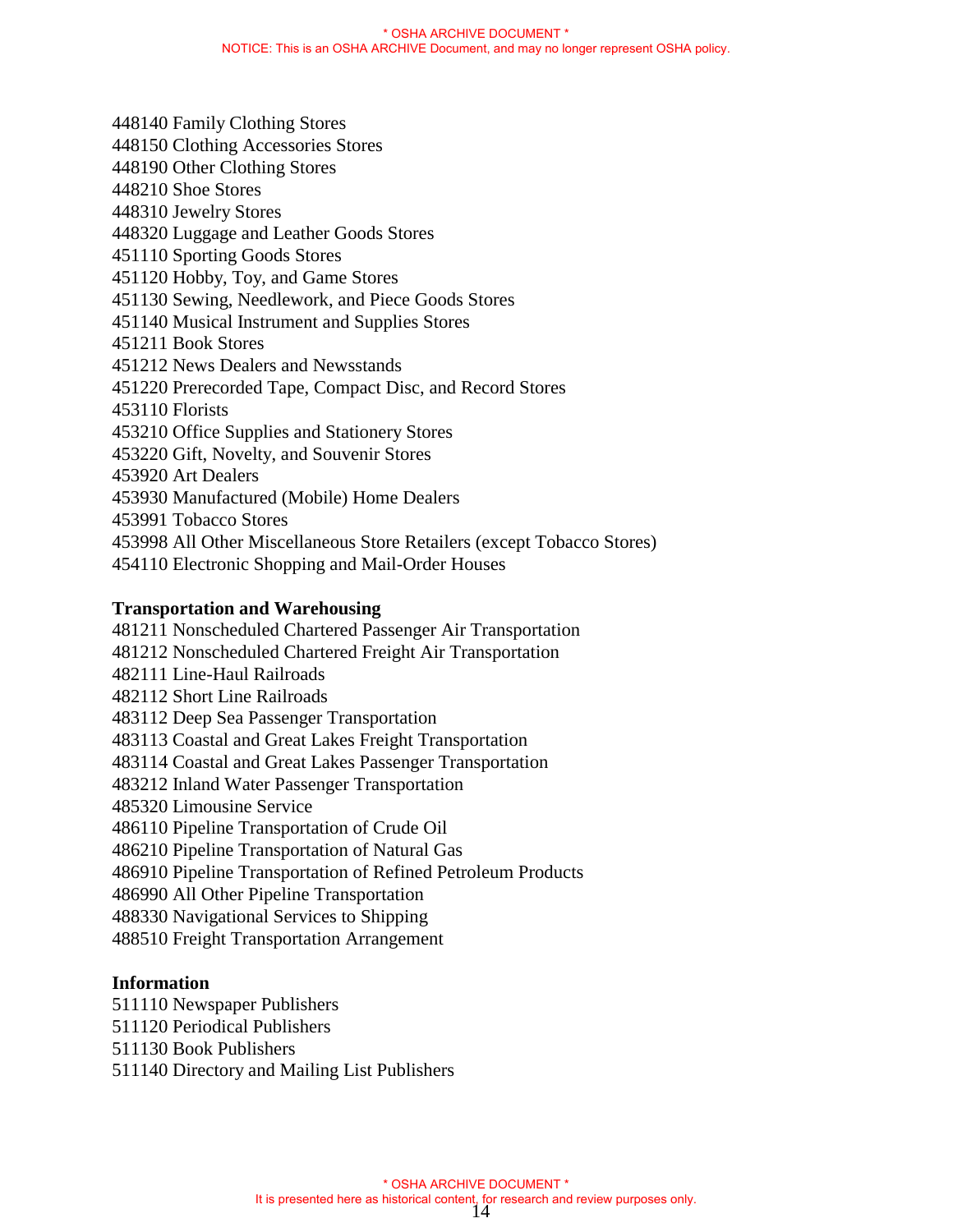448140 Family Clothing Stores 448150 Clothing Accessories Stores 448190 Other Clothing Stores 448210 Shoe Stores 448310 Jewelry Stores 448320 Luggage and Leather Goods Stores 451110 Sporting Goods Stores 451120 Hobby, Toy, and Game Stores 451130 Sewing, Needlework, and Piece Goods Stores 451140 Musical Instrument and Supplies Stores 451211 Book Stores 451212 News Dealers and Newsstands 451220 Prerecorded Tape, Compact Disc, and Record Stores 453110 Florists 453210 Office Supplies and Stationery Stores 453220 Gift, Novelty, and Souvenir Stores 453920 Art Dealers 453930 Manufactured (Mobile) Home Dealers 453991 Tobacco Stores 453998 All Other Miscellaneous Store Retailers (except Tobacco Stores) 454110 Electronic Shopping and Mail-Order Houses

### **Transportation and Warehousing**

481211 Nonscheduled Chartered Passenger Air Transportation 481212 Nonscheduled Chartered Freight Air Transportation 482111 Line-Haul Railroads 482112 Short Line Railroads 483112 Deep Sea Passenger Transportation 483113 Coastal and Great Lakes Freight Transportation 483114 Coastal and Great Lakes Passenger Transportation 483212 Inland Water Passenger Transportation 485320 Limousine Service 486110 Pipeline Transportation of Crude Oil 486210 Pipeline Transportation of Natural Gas 486910 Pipeline Transportation of Refined Petroleum Products 486990 All Other Pipeline Transportation 488330 Navigational Services to Shipping 488510 Freight Transportation Arrangement

### **Information**

511110 Newspaper Publishers

- 511120 Periodical Publishers
- 511130 Book Publishers
- 511140 Directory and Mailing List Publishers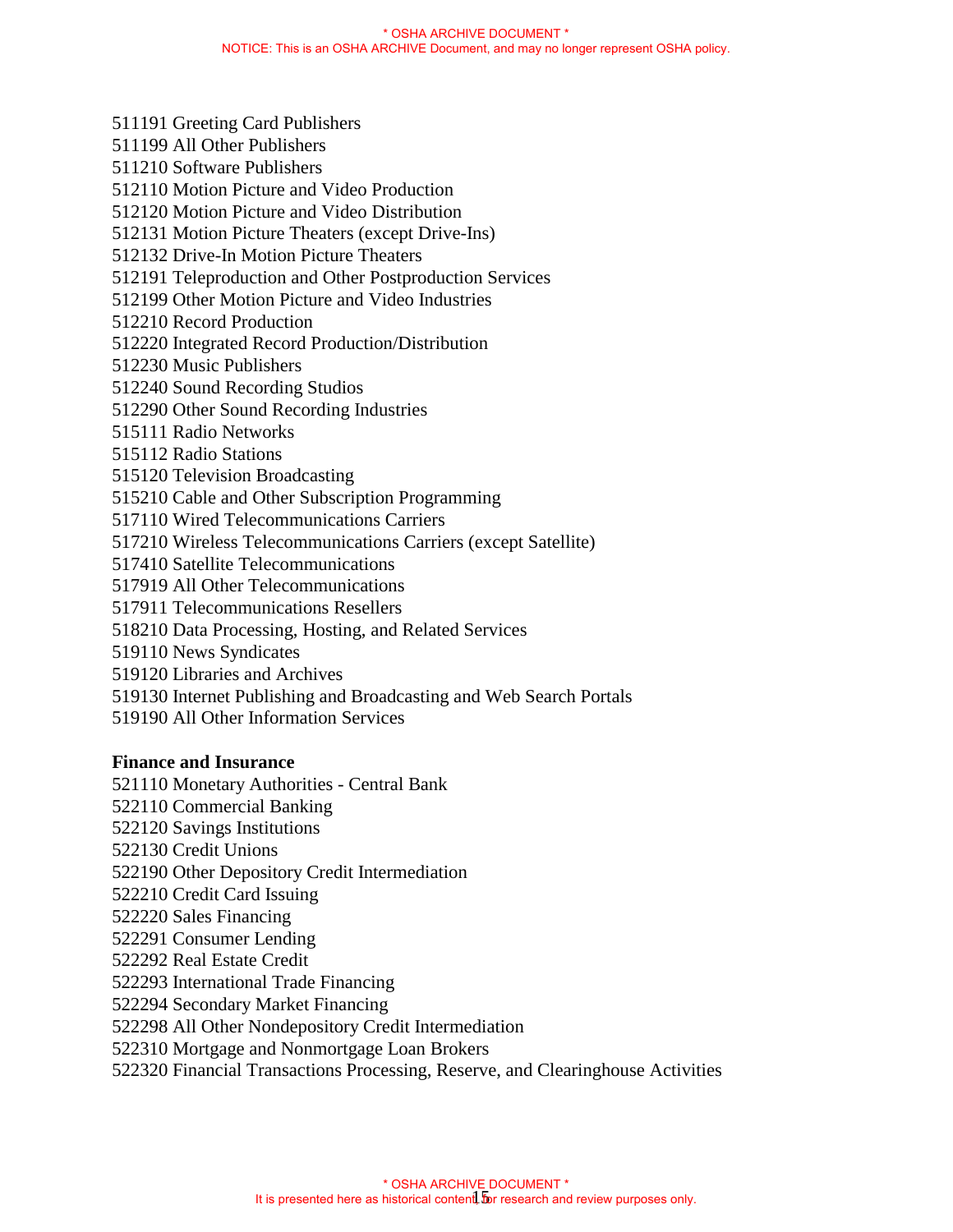- 511191 Greeting Card Publishers
- 511199 All Other Publishers
- 511210 Software Publishers
- 512110 Motion Picture and Video Production
- 512120 Motion Picture and Video Distribution
- 512131 Motion Picture Theaters (except Drive-Ins)
- 512132 Drive-In Motion Picture Theaters
- 512191 Teleproduction and Other Postproduction Services
- 512199 Other Motion Picture and Video Industries
- 512210 Record Production
- 512220 Integrated Record Production/Distribution
- 512230 Music Publishers
- 512240 Sound Recording Studios
- 512290 Other Sound Recording Industries
- 515111 Radio Networks
- 515112 Radio Stations
- 515120 Television Broadcasting
- 515210 Cable and Other Subscription Programming
- 517110 Wired Telecommunications Carriers
- 517210 Wireless Telecommunications Carriers (except Satellite)
- 517410 Satellite Telecommunications
- 517919 All Other Telecommunications
- 517911 Telecommunications Resellers
- 518210 Data Processing, Hosting, and Related Services
- 519110 News Syndicates
- 519120 Libraries and Archives
- 519130 Internet Publishing and Broadcasting and Web Search Portals
- 519190 All Other Information Services

### **Finance and Insurance**

- 521110 Monetary Authorities Central Bank
- 522110 Commercial Banking
- 522120 Savings Institutions
- 522130 Credit Unions
- 522190 Other Depository Credit Intermediation
- 522210 Credit Card Issuing
- 522220 Sales Financing
- 522291 Consumer Lending
- 522292 Real Estate Credit
- 522293 International Trade Financing
- 522294 Secondary Market Financing
- 522298 All Other Nondepository Credit Intermediation
- 522310 Mortgage and Nonmortgage Loan Brokers
- 522320 Financial Transactions Processing, Reserve, and Clearinghouse Activities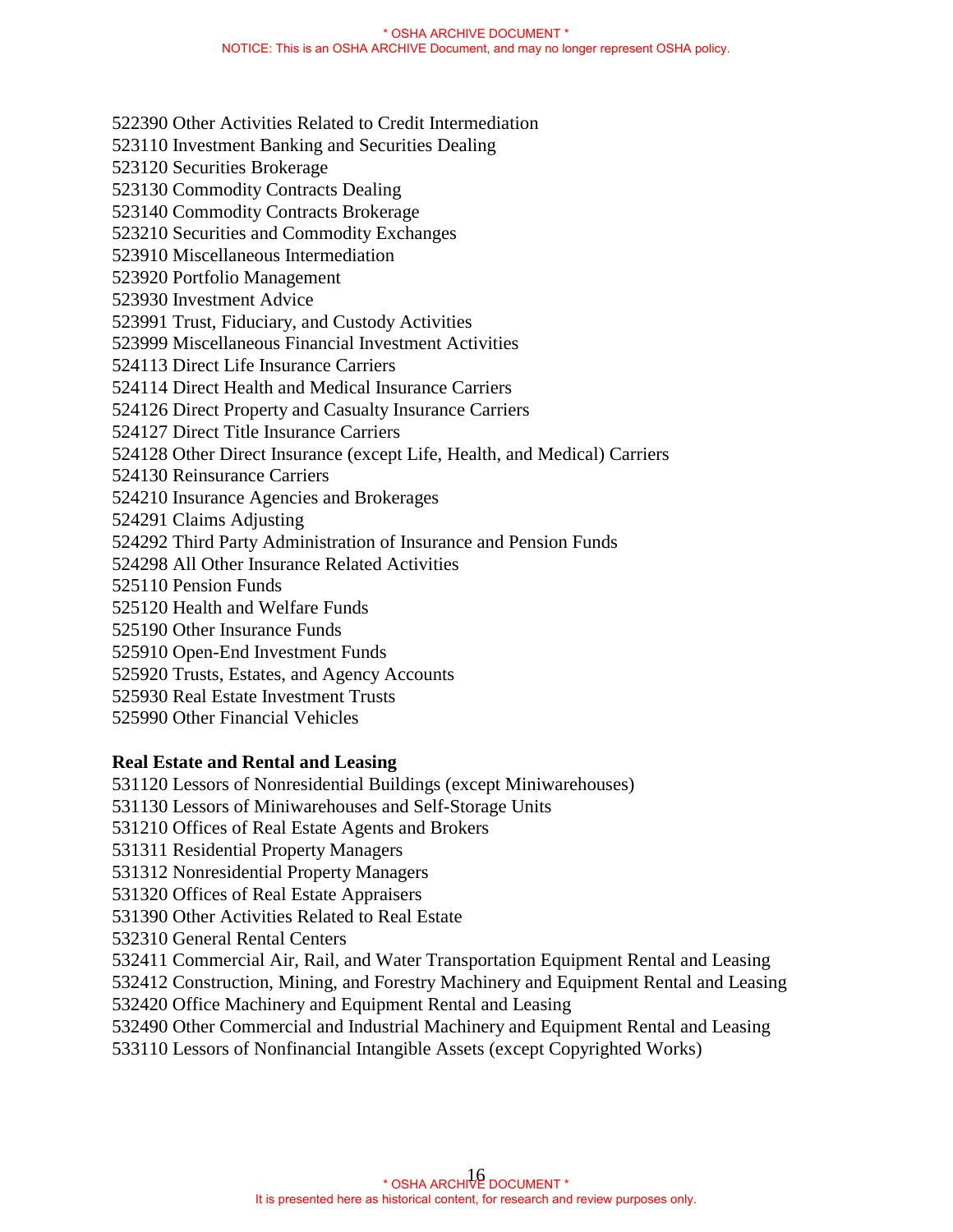522390 Other Activities Related to Credit Intermediation 523110 Investment Banking and Securities Dealing 523120 Securities Brokerage 523130 Commodity Contracts Dealing 523140 Commodity Contracts Brokerage 523210 Securities and Commodity Exchanges 523910 Miscellaneous Intermediation 523920 Portfolio Management 523930 Investment Advice 523991 Trust, Fiduciary, and Custody Activities 523999 Miscellaneous Financial Investment Activities 524113 Direct Life Insurance Carriers 524114 Direct Health and Medical Insurance Carriers 524126 Direct Property and Casualty Insurance Carriers 524127 Direct Title Insurance Carriers 524128 Other Direct Insurance (except Life, Health, and Medical) Carriers 524130 Reinsurance Carriers 524210 Insurance Agencies and Brokerages 524291 Claims Adjusting 524292 Third Party Administration of Insurance and Pension Funds 524298 All Other Insurance Related Activities 525110 Pension Funds 525120 Health and Welfare Funds 525190 Other Insurance Funds 525910 Open-End Investment Funds 525920 Trusts, Estates, and Agency Accounts 525930 Real Estate Investment Trusts

525990 Other Financial Vehicles

### **Real Estate and Rental and Leasing**

531120 Lessors of Nonresidential Buildings (except Miniwarehouses)

531130 Lessors of Miniwarehouses and Self-Storage Units

531210 Offices of Real Estate Agents and Brokers

531311 Residential Property Managers

531312 Nonresidential Property Managers

531320 Offices of Real Estate Appraisers

531390 Other Activities Related to Real Estate

532310 General Rental Centers

532411 Commercial Air, Rail, and Water Transportation Equipment Rental and Leasing

532412 Construction, Mining, and Forestry Machinery and Equipment Rental and Leasing

532420 Office Machinery and Equipment Rental and Leasing

532490 Other Commercial and Industrial Machinery and Equipment Rental and Leasing

533110 Lessors of Nonfinancial Intangible Assets (except Copyrighted Works)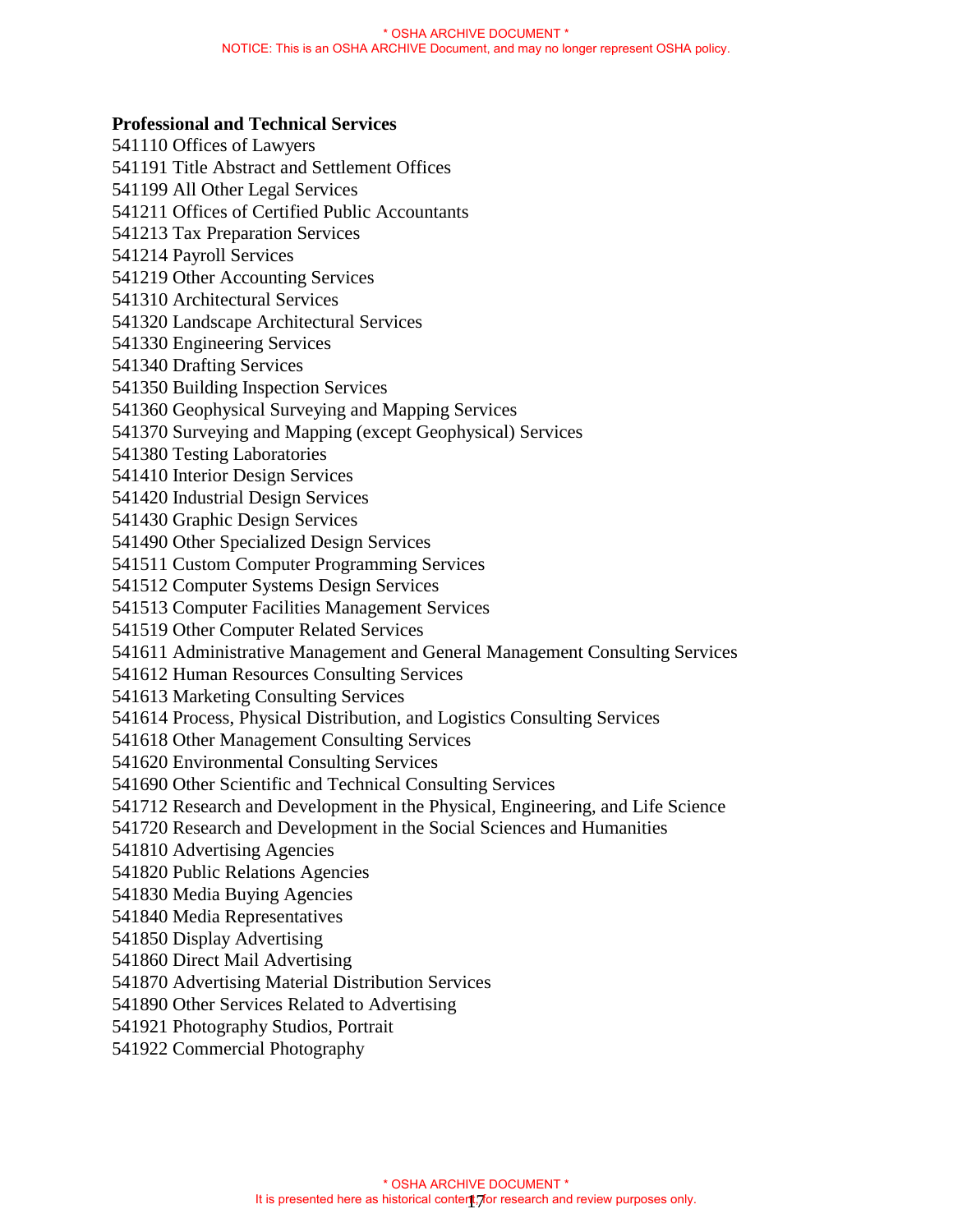#### **Professional and Technical Services**

541110 Offices of Lawyers 541191 Title Abstract and Settlement Offices 541199 All Other Legal Services 541211 Offices of Certified Public Accountants 541213 Tax Preparation Services 541214 Payroll Services 541219 Other Accounting Services 541310 Architectural Services 541320 Landscape Architectural Services 541330 Engineering Services 541340 Drafting Services 541350 Building Inspection Services 541360 Geophysical Surveying and Mapping Services 541370 Surveying and Mapping (except Geophysical) Services 541380 Testing Laboratories 541410 Interior Design Services 541420 Industrial Design Services 541430 Graphic Design Services 541490 Other Specialized Design Services 541511 Custom Computer Programming Services 541512 Computer Systems Design Services 541513 Computer Facilities Management Services 541519 Other Computer Related Services 541611 Administrative Management and General Management Consulting Services 541612 Human Resources Consulting Services 541613 Marketing Consulting Services 541614 Process, Physical Distribution, and Logistics Consulting Services 541618 Other Management Consulting Services 541620 Environmental Consulting Services 541690 Other Scientific and Technical Consulting Services 541712 Research and Development in the Physical, Engineering, and Life Science 541720 Research and Development in the Social Sciences and Humanities 541810 Advertising Agencies 541820 Public Relations Agencies 541830 Media Buying Agencies 541840 Media Representatives 541850 Display Advertising 541860 Direct Mail Advertising 541870 Advertising Material Distribution Services 541890 Other Services Related to Advertising 541921 Photography Studios, Portrait 541922 Commercial Photography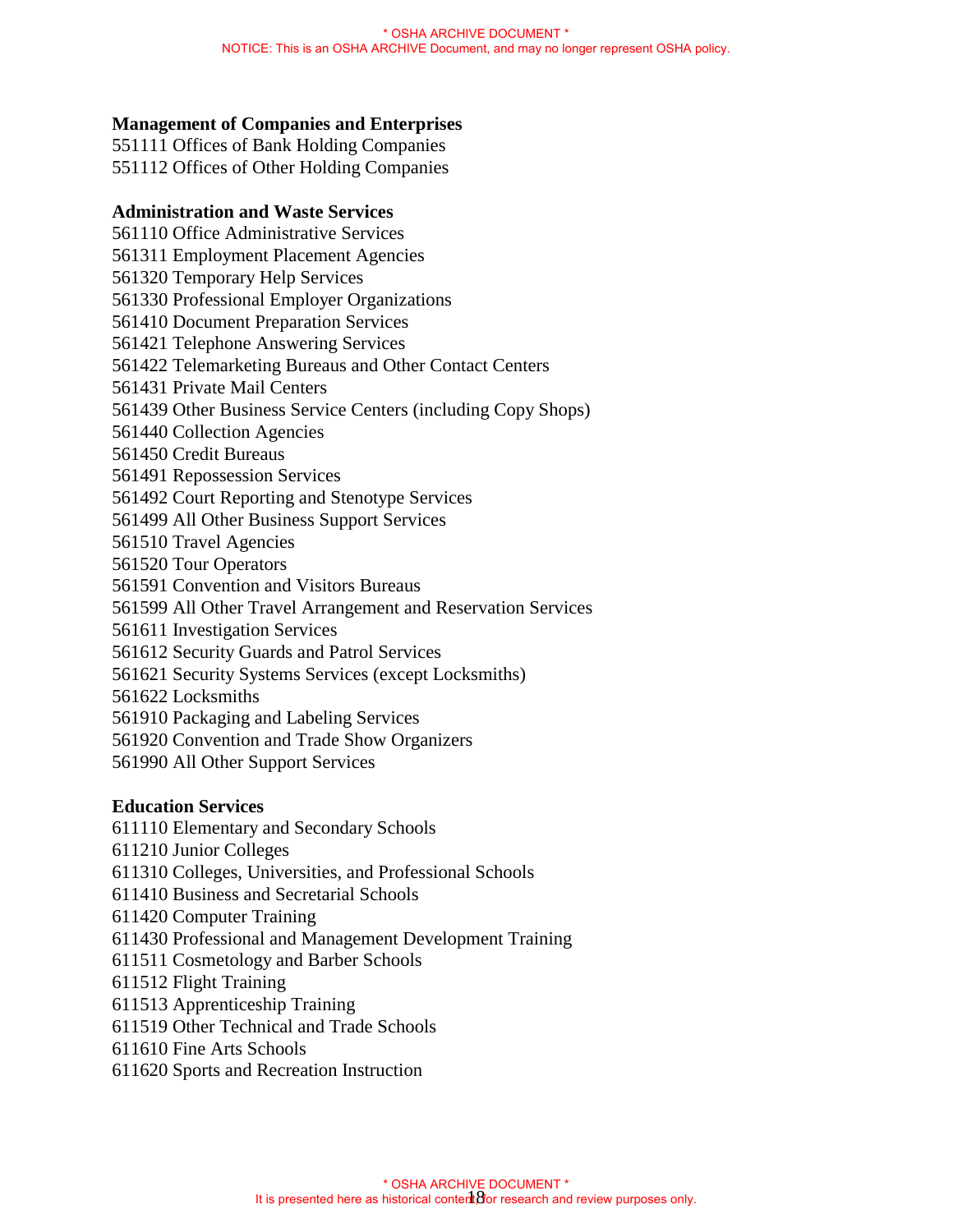### **Management of Companies and Enterprises**

551111 Offices of Bank Holding Companies 551112 Offices of Other Holding Companies

#### **Administration and Waste Services**

561110 Office Administrative Services 561311 Employment Placement Agencies 561320 Temporary Help Services 561330 Professional Employer Organizations 561410 Document Preparation Services 561421 Telephone Answering Services 561422 Telemarketing Bureaus and Other Contact Centers 561431 Private Mail Centers 561439 Other Business Service Centers (including Copy Shops) 561440 Collection Agencies 561450 Credit Bureaus 561491 Repossession Services 561492 Court Reporting and Stenotype Services 561499 All Other Business Support Services 561510 Travel Agencies 561520 Tour Operators 561591 Convention and Visitors Bureaus 561599 All Other Travel Arrangement and Reservation Services 561611 Investigation Services 561612 Security Guards and Patrol Services 561621 Security Systems Services (except Locksmiths) 561622 Locksmiths 561910 Packaging and Labeling Services 561920 Convention and Trade Show Organizers 561990 All Other Support Services

### **Education Services**

611110 Elementary and Secondary Schools 611210 Junior Colleges 611310 Colleges, Universities, and Professional Schools 611410 Business and Secretarial Schools 611420 Computer Training 611430 Professional and Management Development Training 611511 Cosmetology and Barber Schools 611512 Flight Training 611513 Apprenticeship Training 611519 Other Technical and Trade Schools 611610 Fine Arts Schools

611620 Sports and Recreation Instruction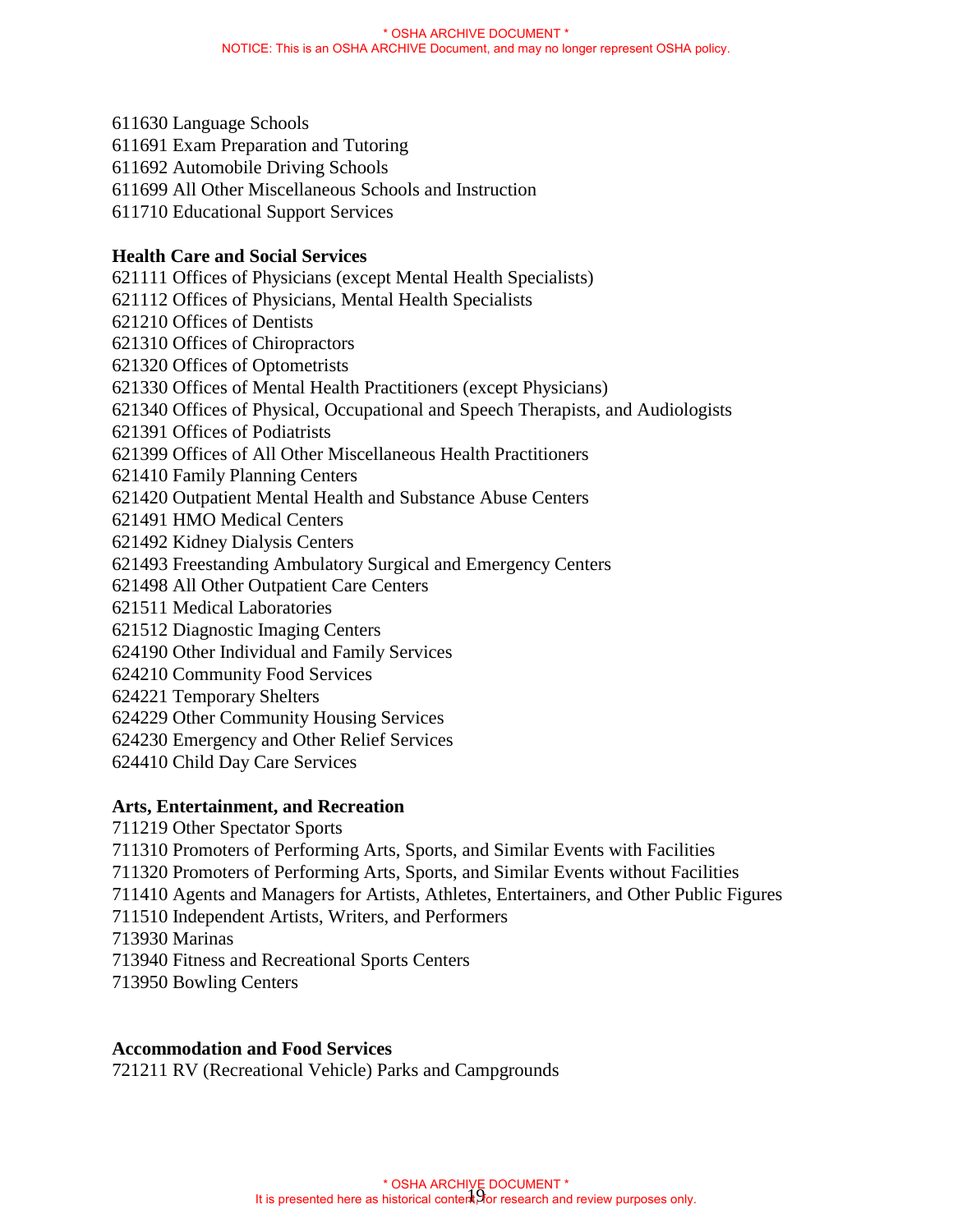611630 Language Schools 611691 Exam Preparation and Tutoring 611692 Automobile Driving Schools 611699 All Other Miscellaneous Schools and Instruction 611710 Educational Support Services **Health Care and Social Services**  621111 Offices of Physicians (except Mental Health Specialists) 621112 Offices of Physicians, Mental Health Specialists 621210 Offices of Dentists 621310 Offices of Chiropractors 621320 Offices of Optometrists 621330 Offices of Mental Health Practitioners (except Physicians) 621340 Offices of Physical, Occupational and Speech Therapists, and Audiologists 621391 Offices of Podiatrists 621399 Offices of All Other Miscellaneous Health Practitioners 621410 Family Planning Centers 621420 Outpatient Mental Health and Substance Abuse Centers 621491 HMO Medical Centers 621492 Kidney Dialysis Centers 621493 Freestanding Ambulatory Surgical and Emergency Centers 621498 All Other Outpatient Care Centers 621511 Medical Laboratories 621512 Diagnostic Imaging Centers 624190 Other Individual and Family Services 624210 Community Food Services 624221 Temporary Shelters 624229 Other Community Housing Services 624230 Emergency and Other Relief Services 624410 Child Day Care Services

### **Arts, Entertainment, and Recreation**

- 711219 Other Spectator Sports
- 711310 Promoters of Performing Arts, Sports, and Similar Events with Facilities
- 711320 Promoters of Performing Arts, Sports, and Similar Events without Facilities
- 711410 Agents and Managers for Artists, Athletes, Entertainers, and Other Public Figures
- 711510 Independent Artists, Writers, and Performers
- 713930 Marinas
- 713940 Fitness and Recreational Sports Centers
- 713950 Bowling Centers

# **Accommodation and Food Services**

721211 RV (Recreational Vehicle) Parks and Campgrounds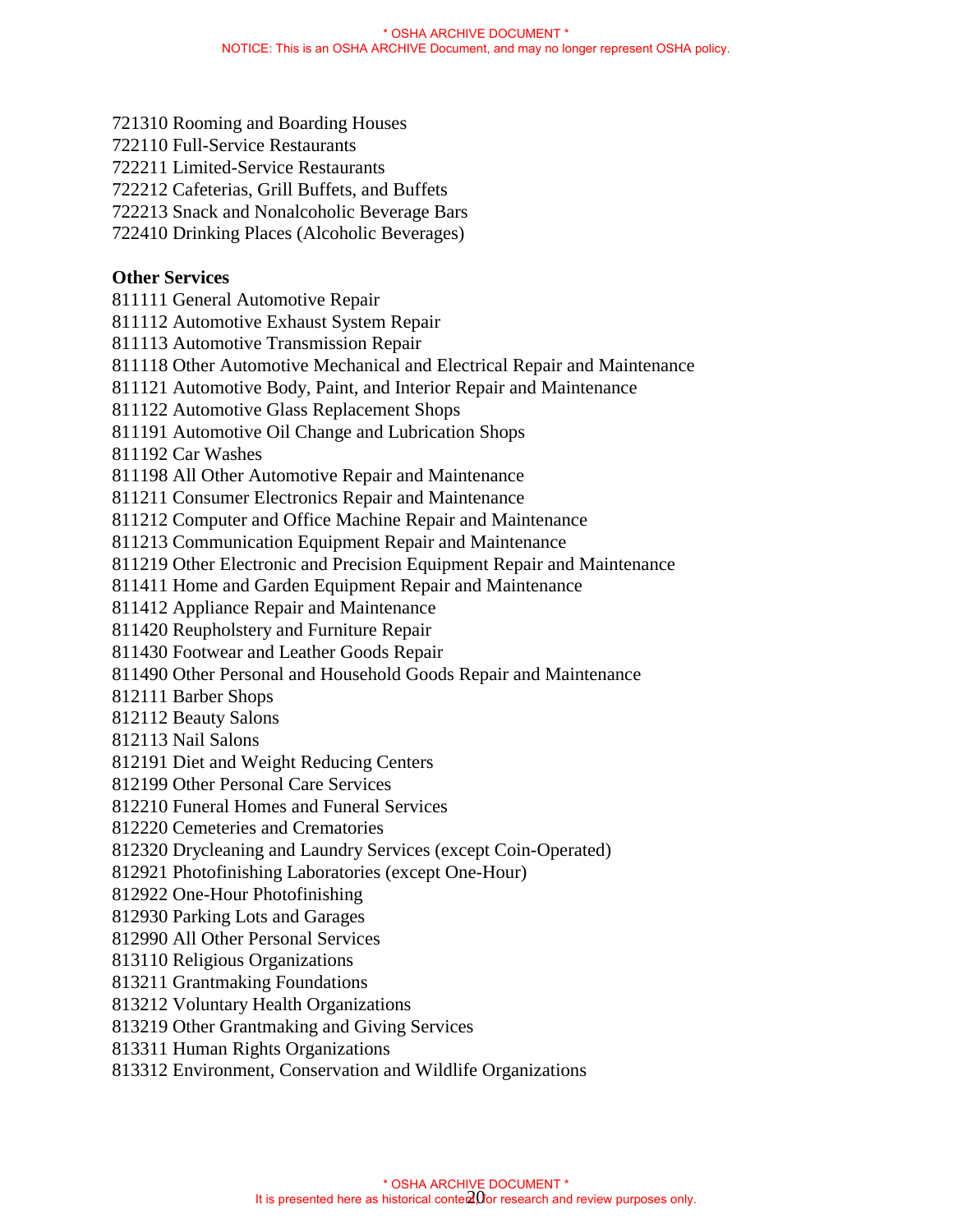- 721310 Rooming and Boarding Houses
- 722110 Full-Service Restaurants
- 722211 Limited-Service Restaurants
- 722212 Cafeterias, Grill Buffets, and Buffets
- 722213 Snack and Nonalcoholic Beverage Bars
- 722410 Drinking Places (Alcoholic Beverages)

# **Other Services**

- 811111 General Automotive Repair
- 811112 Automotive Exhaust System Repair
- 811113 Automotive Transmission Repair
- 811118 Other Automotive Mechanical and Electrical Repair and Maintenance
- 811121 Automotive Body, Paint, and Interior Repair and Maintenance
- 811122 Automotive Glass Replacement Shops
- 811191 Automotive Oil Change and Lubrication Shops
- 811192 Car Washes
- 811198 All Other Automotive Repair and Maintenance
- 811211 Consumer Electronics Repair and Maintenance
- 811212 Computer and Office Machine Repair and Maintenance
- 811213 Communication Equipment Repair and Maintenance
- 811219 Other Electronic and Precision Equipment Repair and Maintenance
- 811411 Home and Garden Equipment Repair and Maintenance
- 811412 Appliance Repair and Maintenance
- 811420 Reupholstery and Furniture Repair
- 811430 Footwear and Leather Goods Repair
- 811490 Other Personal and Household Goods Repair and Maintenance
- 812111 Barber Shops
- 812112 Beauty Salons
- 812113 Nail Salons
- 812191 Diet and Weight Reducing Centers
- 812199 Other Personal Care Services
- 812210 Funeral Homes and Funeral Services
- 812220 Cemeteries and Crematories
- 812320 Drycleaning and Laundry Services (except Coin-Operated)
- 812921 Photofinishing Laboratories (except One-Hour)
- 812922 One-Hour Photofinishing
- 812930 Parking Lots and Garages
- 812990 All Other Personal Services
- 813110 Religious Organizations
- 813211 Grantmaking Foundations
- 813212 Voluntary Health Organizations
- 813219 Other Grantmaking and Giving Services
- 813311 Human Rights Organizations
- 813312 Environment, Conservation and Wildlife Organizations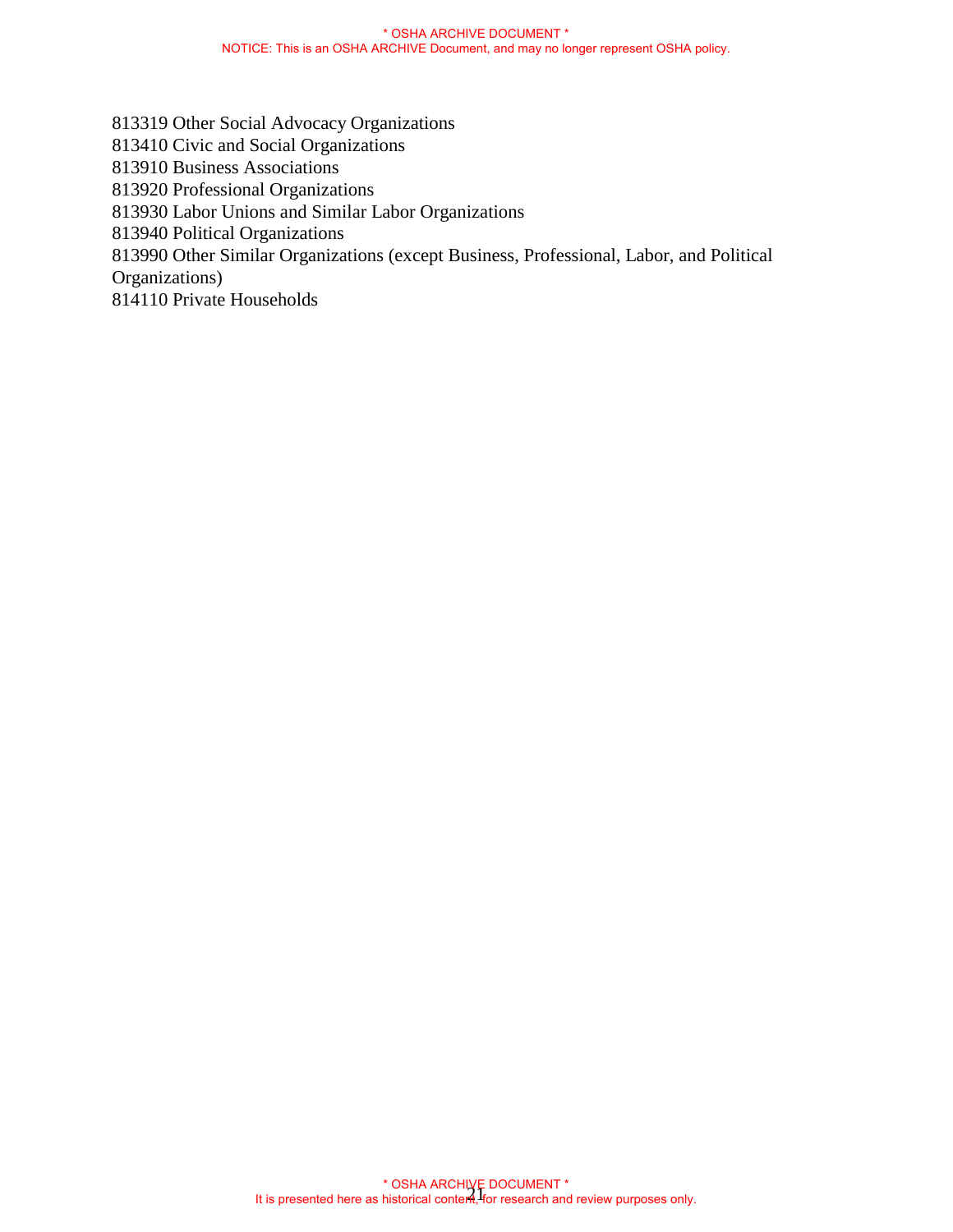813319 Other Social Advocacy Organizations 813410 Civic and Social Organizations 813910 Business Associations 813920 Professional Organizations 813930 Labor Unions and Similar Labor Organizations 813940 Political Organizations 813990 Other Similar Organizations (except Business, Professional, Labor, and Political Organizations)

814110 Private Households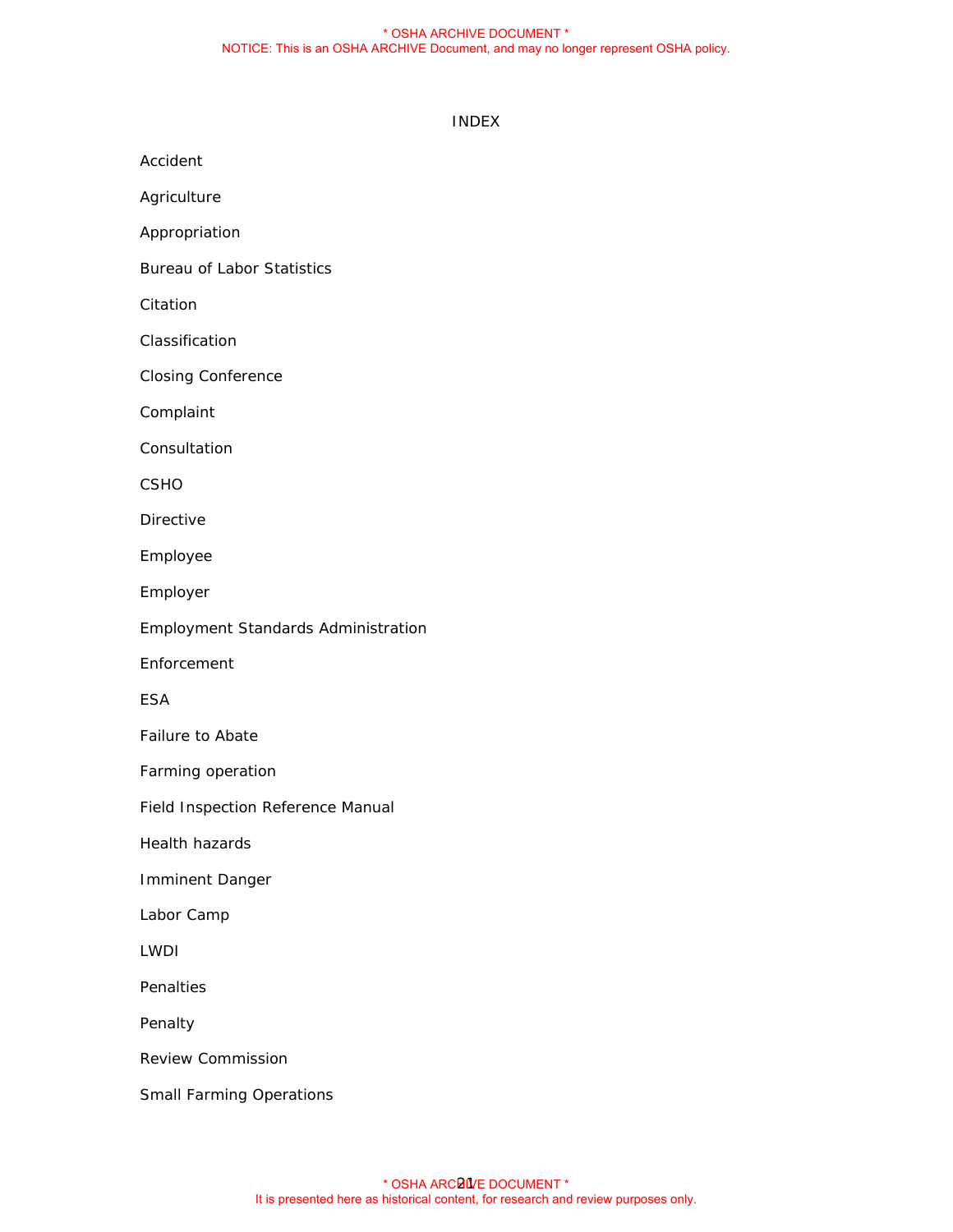#### \* OSHA ARCHIVE DOCUMENT \* NOTICE: This is an OSHA ARCHIVE Document, and may no longer represent OSHA policy.

#### INDEX

Accident

Agriculture

Appropriation

Bureau of Labor Statistics

Citation

Classification

Closing Conference

Complaint

**Consultation** 

CSHO

Directive

Employee

Employer

Employment Standards Administration

Enforcement

ESA

Failure to Abate

Farming operation

Field Inspection Reference Manual

Health hazards

Imminent Danger

Labor Camp

LWDI

Penalties

Penalty

Review Commission

Small Farming Operations